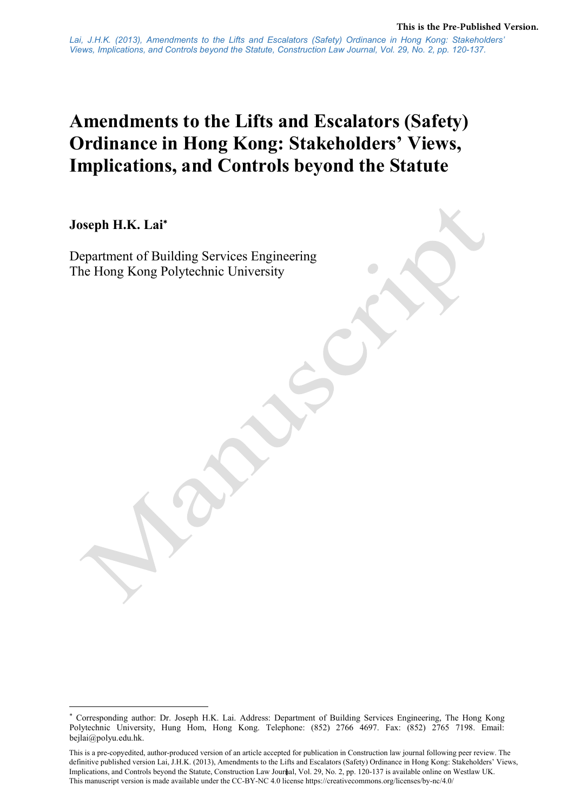# Amendments to the Lifts and Escalators (Safety) Ordinance in Hong Kong: Stakeholders' Views, Implications, and Controls beyond the Statute

Joseph H.K. Lai

Department of Building Services Engineering The Hong Kong Polytechnic University

 Corresponding author: Dr. Joseph H.K. Lai. Address: Department of Building Services Engineering, The Hong Kong Polytechnic University, Hung Hom, Hong Kong. Telephone: (852) 2766 4697. Fax: (852) 2765 7198. Email: bejlai@polyu.edu.hk.

<sup>1</sup>  Implications, and Controls beyond the Statute, Construction Law Journal, Vol. 29, No. 2, pp. 120-137 is available online on Westlaw UK. This is a pre-copyedited, author-produced version of an article accepted for publication in Construction law journal following peer review. The definitive published version Lai, J.H.K. (2013), Amendments to the Lifts and Escalators (Safety) Ordinance in Hong Kong: Stakeholders' Views, This manuscript version is made available under the CC-BY-NC 4.0 license https://creativecommons.org/licenses/by-nc/4.0/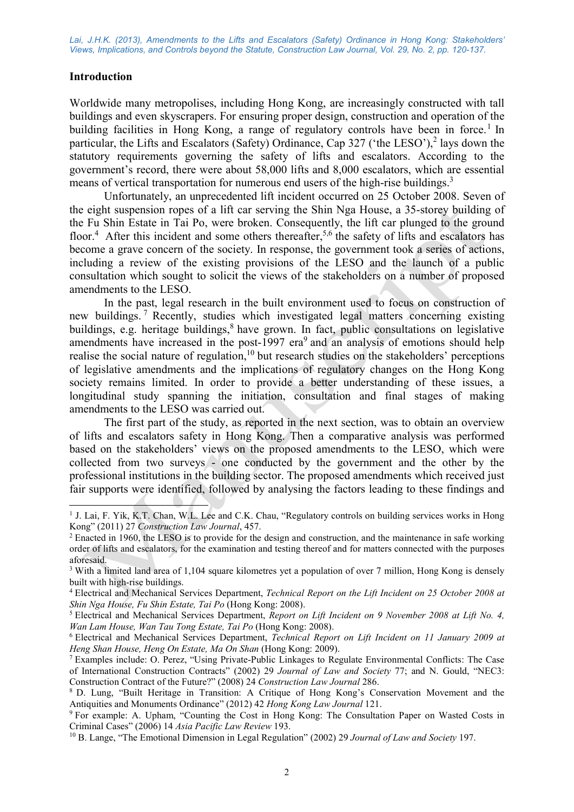#### Introduction

-

Worldwide many metropolises, including Hong Kong, are increasingly constructed with tall buildings and even skyscrapers. For ensuring proper design, construction and operation of the building facilities in Hong Kong, a range of regulatory controls have been in force.<sup>1</sup> In particular, the Lifts and Escalators (Safety) Ordinance, Cap 327 ('the LESO'),<sup>2</sup> lays down the statutory requirements governing the safety of lifts and escalators. According to the government's record, there were about 58,000 lifts and 8,000 escalators, which are essential means of vertical transportation for numerous end users of the high-rise buildings.<sup>3</sup>

 Unfortunately, an unprecedented lift incident occurred on 25 October 2008. Seven of the eight suspension ropes of a lift car serving the Shin Nga House, a 35-storey building of the Fu Shin Estate in Tai Po, were broken. Consequently, the lift car plunged to the ground floor.<sup>4</sup> After this incident and some others thereafter,<sup>5,6</sup> the safety of lifts and escalators has become a grave concern of the society. In response, the government took a series of actions, including a review of the existing provisions of the LESO and the launch of a public consultation which sought to solicit the views of the stakeholders on a number of proposed amendments to the LESO.

In the past, legal research in the built environment used to focus on construction of new buildings.<sup>7</sup> Recently, studies which investigated legal matters concerning existing buildings, e.g. heritage buildings,<sup>8</sup> have grown. In fact, public consultations on legislative amendments have increased in the post-1997  $era<sup>9</sup>$  and an analysis of emotions should help realise the social nature of regulation,<sup>10</sup> but research studies on the stakeholders' perceptions of legislative amendments and the implications of regulatory changes on the Hong Kong society remains limited. In order to provide a better understanding of these issues, a longitudinal study spanning the initiation, consultation and final stages of making amendments to the LESO was carried out.

The first part of the study, as reported in the next section, was to obtain an overview of lifts and escalators safety in Hong Kong. Then a comparative analysis was performed based on the stakeholders' views on the proposed amendments to the LESO, which were collected from two surveys - one conducted by the government and the other by the professional institutions in the building sector. The proposed amendments which received just fair supports were identified, followed by analysing the factors leading to these findings and

<sup>&</sup>lt;sup>1</sup> J. Lai, F. Yik, K.T. Chan, W.L. Lee and C.K. Chau, "Regulatory controls on building services works in Hong Kong" (2011) 27 Construction Law Journal, 457.

<sup>&</sup>lt;sup>2</sup> Enacted in 1960, the LESO is to provide for the design and construction, and the maintenance in safe working order of lifts and escalators, for the examination and testing thereof and for matters connected with the purposes aforesaid.

<sup>&</sup>lt;sup>3</sup> With a limited land area of 1,104 square kilometres yet a population of over 7 million, Hong Kong is densely built with high-rise buildings.

<sup>&</sup>lt;sup>4</sup> Electrical and Mechanical Services Department, Technical Report on the Lift Incident on 25 October 2008 at Shin Nga House, Fu Shin Estate, Tai Po (Hong Kong: 2008).

<sup>&</sup>lt;sup>5</sup> Electrical and Mechanical Services Department, Report on Lift Incident on 9 November 2008 at Lift No. 4, Wan Lam House, Wan Tau Tong Estate, Tai Po (Hong Kong: 2008).

<sup>&</sup>lt;sup>6</sup> Electrical and Mechanical Services Department, Technical Report on Lift Incident on 11 January 2009 at Heng Shan House, Heng On Estate, Ma On Shan (Hong Kong: 2009).

<sup>7</sup> Examples include: O. Perez, "Using Private-Public Linkages to Regulate Environmental Conflicts: The Case of International Construction Contracts" (2002) 29 Journal of Law and Society 77; and N. Gould, "NEC3: Construction Contract of the Future?" (2008) 24 Construction Law Journal 286.

<sup>8</sup> D. Lung, "Built Heritage in Transition: A Critique of Hong Kong's Conservation Movement and the Antiquities and Monuments Ordinance" (2012) 42 Hong Kong Law Journal 121.

<sup>&</sup>lt;sup>9</sup> For example: A. Upham, "Counting the Cost in Hong Kong: The Consultation Paper on Wasted Costs in Criminal Cases" (2006) 14 Asia Pacific Law Review 193.

<sup>&</sup>lt;sup>10</sup> B. Lange, "The Emotional Dimension in Legal Regulation" (2002) 29 Journal of Law and Society 197.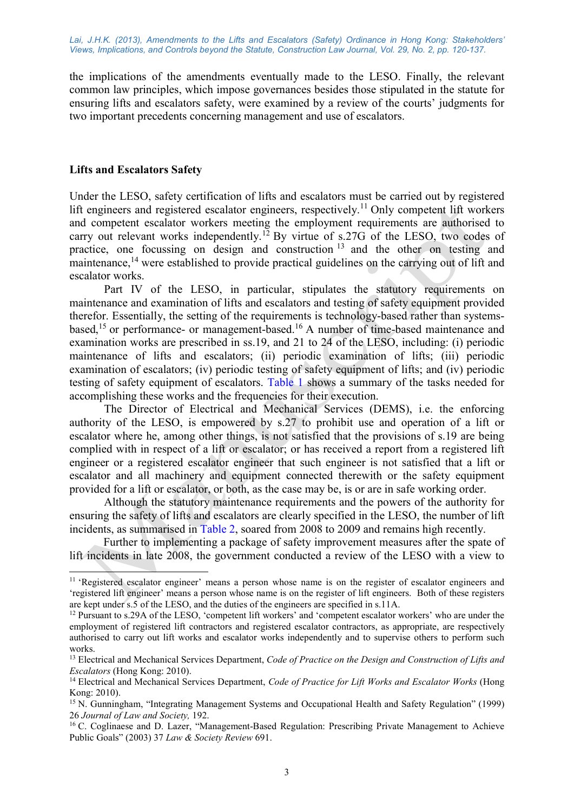the implications of the amendments eventually made to the LESO. Finally, the relevant common law principles, which impose governances besides those stipulated in the statute for ensuring lifts and escalators safety, were examined by a review of the courts' judgments for two important precedents concerning management and use of escalators.

#### Lifts and Escalators Safety

-

Under the LESO, safety certification of lifts and escalators must be carried out by registered lift engineers and registered escalator engineers, respectively.<sup>11</sup> Only competent lift workers and competent escalator workers meeting the employment requirements are authorised to carry out relevant works independently.<sup>12</sup> By virtue of s.27G of the LESO, two codes of practice, one focussing on design and construction <sup>13</sup> and the other on testing and maintenance,<sup>14</sup> were established to provide practical guidelines on the carrying out of lift and escalator works.

Part IV of the LESO, in particular, stipulates the statutory requirements on maintenance and examination of lifts and escalators and testing of safety equipment provided therefor. Essentially, the setting of the requirements is technology-based rather than systemsbased,<sup>15</sup> or performance- or management-based.<sup>16</sup> A number of time-based maintenance and examination works are prescribed in ss.19, and 21 to 24 of the LESO, including: (i) periodic maintenance of lifts and escalators; (ii) periodic examination of lifts; (iii) periodic examination of escalators; (iv) periodic testing of safety equipment of lifts; and (iv) periodic testing of safety equipment of escalators. Table 1 shows a summary of the tasks needed for accomplishing these works and the frequencies for their execution.

The Director of Electrical and Mechanical Services (DEMS), i.e. the enforcing authority of the LESO, is empowered by s.27 to prohibit use and operation of a lift or escalator where he, among other things, is not satisfied that the provisions of s.19 are being complied with in respect of a lift or escalator; or has received a report from a registered lift engineer or a registered escalator engineer that such engineer is not satisfied that a lift or escalator and all machinery and equipment connected therewith or the safety equipment provided for a lift or escalator, or both, as the case may be, is or are in safe working order.

Although the statutory maintenance requirements and the powers of the authority for ensuring the safety of lifts and escalators are clearly specified in the LESO, the number of lift incidents, as summarised in Table 2, soared from 2008 to 2009 and remains high recently.

Further to implementing a package of safety improvement measures after the spate of lift incidents in late 2008, the government conducted a review of the LESO with a view to

<sup>&</sup>lt;sup>11</sup> 'Registered escalator engineer' means a person whose name is on the register of escalator engineers and 'registered lift engineer' means a person whose name is on the register of lift engineers. Both of these registers are kept under s.5 of the LESO, and the duties of the engineers are specified in s.11A.

<sup>12</sup> Pursuant to s.29A of the LESO, 'competent lift workers' and 'competent escalator workers' who are under the employment of registered lift contractors and registered escalator contractors, as appropriate, are respectively authorised to carry out lift works and escalator works independently and to supervise others to perform such works.

 $13$  Electrical and Mechanical Services Department, Code of Practice on the Design and Construction of Lifts and Escalators (Hong Kong: 2010).

 $14$  Electrical and Mechanical Services Department, Code of Practice for Lift Works and Escalator Works (Hong Kong: 2010).

<sup>15</sup> N. Gunningham, "Integrating Management Systems and Occupational Health and Safety Regulation" (1999) 26 Journal of Law and Society, 192.

<sup>&</sup>lt;sup>16</sup> C. Coglinaese and D. Lazer, "Management-Based Regulation: Prescribing Private Management to Achieve Public Goals" (2003) 37 Law & Society Review 691.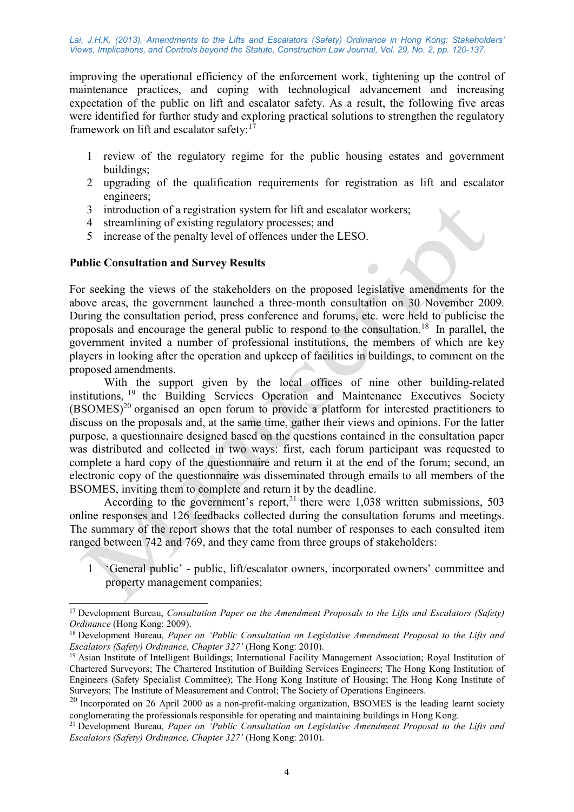improving the operational efficiency of the enforcement work, tightening up the control of maintenance practices, and coping with technological advancement and increasing expectation of the public on lift and escalator safety. As a result, the following five areas were identified for further study and exploring practical solutions to strengthen the regulatory framework on lift and escalator safety: $<sup>1</sup>$ </sup>

- 1 review of the regulatory regime for the public housing estates and government buildings;
- 2 upgrading of the qualification requirements for registration as lift and escalator engineers;
- 3 introduction of a registration system for lift and escalator workers;
- 4 streamlining of existing regulatory processes; and
- 5 increase of the penalty level of offences under the LESO.

## Public Consultation and Survey Results

-

For seeking the views of the stakeholders on the proposed legislative amendments for the above areas, the government launched a three-month consultation on 30 November 2009. During the consultation period, press conference and forums, etc. were held to publicise the proposals and encourage the general public to respond to the consultation.<sup>18</sup> In parallel, the government invited a number of professional institutions, the members of which are key players in looking after the operation and upkeep of facilities in buildings, to comment on the proposed amendments.

With the support given by the local offices of nine other building-related institutions, <sup>19</sup> the Building Services Operation and Maintenance Executives Society  $(BSOMES)^{20}$  organised an open forum to provide a platform for interested practitioners to discuss on the proposals and, at the same time, gather their views and opinions. For the latter purpose, a questionnaire designed based on the questions contained in the consultation paper was distributed and collected in two ways: first, each forum participant was requested to complete a hard copy of the questionnaire and return it at the end of the forum; second, an electronic copy of the questionnaire was disseminated through emails to all members of the BSOMES, inviting them to complete and return it by the deadline.

According to the government's report,<sup>21</sup> there were  $1,038$  written submissions, 503 online responses and 126 feedbacks collected during the consultation forums and meetings. The summary of the report shows that the total number of responses to each consulted item ranged between 742 and 769, and they came from three groups of stakeholders:

1 'General public' - public, lift/escalator owners, incorporated owners' committee and property management companies;

<sup>&</sup>lt;sup>17</sup> Development Bureau, *Consultation Paper on the Amendment Proposals to the Lifts and Escalators (Safety)* Ordinance (Hong Kong: 2009).

<sup>&</sup>lt;sup>18</sup> Development Bureau, Paper on 'Public Consultation on Legislative Amendment Proposal to the Lifts and Escalators (Safety) Ordinance, Chapter 327' (Hong Kong: 2010).

<sup>19</sup> Asian Institute of Intelligent Buildings; International Facility Management Association; Royal Institution of Chartered Surveyors; The Chartered Institution of Building Services Engineers; The Hong Kong Institution of Engineers (Safety Specialist Committee); The Hong Kong Institute of Housing; The Hong Kong Institute of Surveyors; The Institute of Measurement and Control; The Society of Operations Engineers.

 $20$  Incorporated on 26 April 2000 as a non-profit-making organization, BSOMES is the leading learnt society conglomerating the professionals responsible for operating and maintaining buildings in Hong Kong.

<sup>&</sup>lt;sup>21</sup> Development Bureau, *Paper on 'Public Consultation on Legislative Amendment Proposal to the Lifts and* Escalators (Safety) Ordinance, Chapter 327' (Hong Kong: 2010).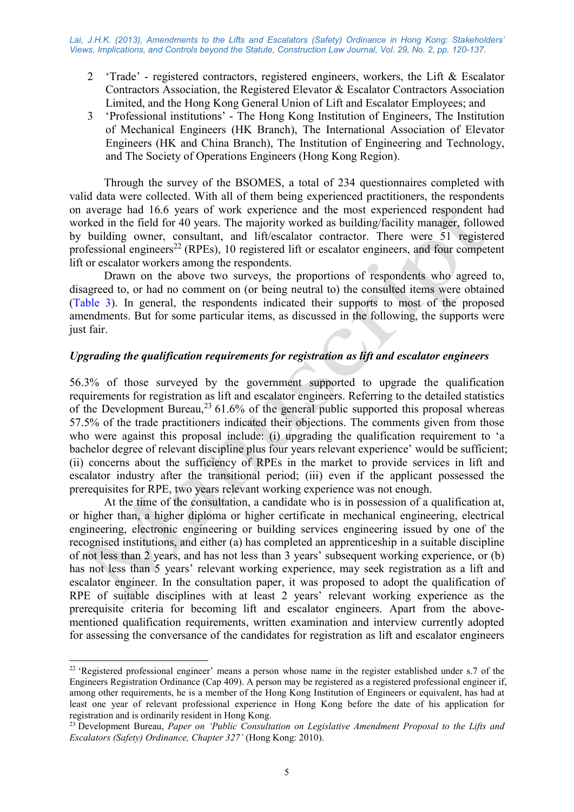- 2 'Trade' registered contractors, registered engineers, workers, the Lift & Escalator Contractors Association, the Registered Elevator & Escalator Contractors Association Limited, and the Hong Kong General Union of Lift and Escalator Employees; and
- 3 'Professional institutions' The Hong Kong Institution of Engineers, The Institution of Mechanical Engineers (HK Branch), The International Association of Elevator Engineers (HK and China Branch), The Institution of Engineering and Technology, and The Society of Operations Engineers (Hong Kong Region).

Through the survey of the BSOMES, a total of 234 questionnaires completed with valid data were collected. With all of them being experienced practitioners, the respondents on average had 16.6 years of work experience and the most experienced respondent had worked in the field for 40 years. The majority worked as building/facility manager, followed by building owner, consultant, and lift/escalator contractor. There were 51 registered professional engineers<sup>22</sup> (RPEs), 10 registered lift or escalator engineers, and four competent lift or escalator workers among the respondents.

Drawn on the above two surveys, the proportions of respondents who agreed to, disagreed to, or had no comment on (or being neutral to) the consulted items were obtained (Table 3). In general, the respondents indicated their supports to most of the proposed amendments. But for some particular items, as discussed in the following, the supports were just fair.

# Upgrading the qualification requirements for registration as lift and escalator engineers

56.3% of those surveyed by the government supported to upgrade the qualification requirements for registration as lift and escalator engineers. Referring to the detailed statistics of the Development Bureau,  $2361.6\%$  of the general public supported this proposal whereas 57.5% of the trade practitioners indicated their objections. The comments given from those who were against this proposal include: (i) upgrading the qualification requirement to 'a bachelor degree of relevant discipline plus four years relevant experience' would be sufficient; (ii) concerns about the sufficiency of RPEs in the market to provide services in lift and escalator industry after the transitional period; (iii) even if the applicant possessed the prerequisites for RPE, two years relevant working experience was not enough.

At the time of the consultation, a candidate who is in possession of a qualification at, or higher than, a higher diploma or higher certificate in mechanical engineering, electrical engineering, electronic engineering or building services engineering issued by one of the recognised institutions, and either (a) has completed an apprenticeship in a suitable discipline of not less than 2 years, and has not less than 3 years' subsequent working experience, or (b) has not less than 5 years' relevant working experience, may seek registration as a lift and escalator engineer. In the consultation paper, it was proposed to adopt the qualification of RPE of suitable disciplines with at least 2 years' relevant working experience as the prerequisite criteria for becoming lift and escalator engineers. Apart from the abovementioned qualification requirements, written examination and interview currently adopted for assessing the conversance of the candidates for registration as lift and escalator engineers

-

<sup>&</sup>lt;sup>22</sup> 'Registered professional engineer' means a person whose name in the register established under s.7 of the Engineers Registration Ordinance (Cap 409). A person may be registered as a registered professional engineer if, among other requirements, he is a member of the Hong Kong Institution of Engineers or equivalent, has had at least one year of relevant professional experience in Hong Kong before the date of his application for registration and is ordinarily resident in Hong Kong.

<sup>&</sup>lt;sup>23</sup> Development Bureau, Paper on 'Public Consultation on Legislative Amendment Proposal to the Lifts and Escalators (Safety) Ordinance, Chapter 327' (Hong Kong: 2010).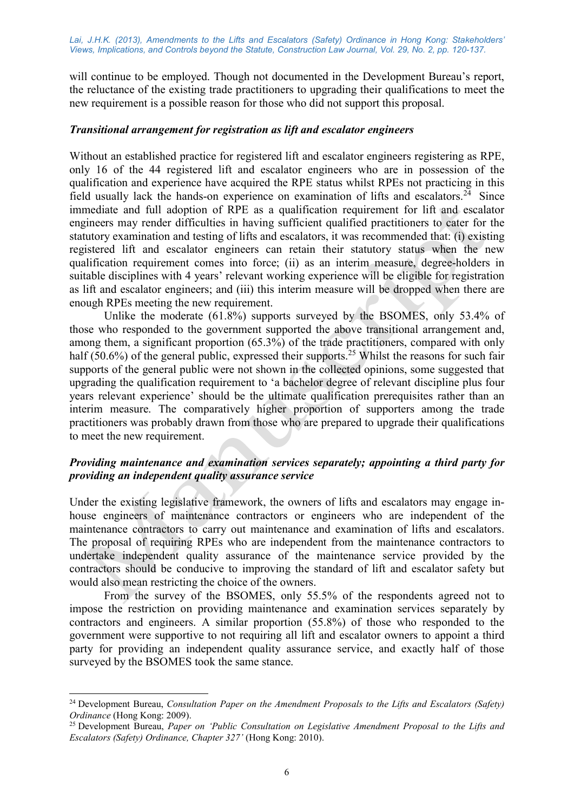will continue to be employed. Though not documented in the Development Bureau's report, the reluctance of the existing trade practitioners to upgrading their qualifications to meet the new requirement is a possible reason for those who did not support this proposal.

#### Transitional arrangement for registration as lift and escalator engineers

Without an established practice for registered lift and escalator engineers registering as RPE, only 16 of the 44 registered lift and escalator engineers who are in possession of the qualification and experience have acquired the RPE status whilst RPEs not practicing in this field usually lack the hands-on experience on examination of lifts and escalators.<sup>24</sup> Since immediate and full adoption of RPE as a qualification requirement for lift and escalator engineers may render difficulties in having sufficient qualified practitioners to cater for the statutory examination and testing of lifts and escalators, it was recommended that: (i) existing registered lift and escalator engineers can retain their statutory status when the new qualification requirement comes into force; (ii) as an interim measure, degree-holders in suitable disciplines with 4 years' relevant working experience will be eligible for registration as lift and escalator engineers; and (iii) this interim measure will be dropped when there are enough RPEs meeting the new requirement.

Unlike the moderate (61.8%) supports surveyed by the BSOMES, only 53.4% of those who responded to the government supported the above transitional arrangement and, among them, a significant proportion (65.3%) of the trade practitioners, compared with only half (50.6%) of the general public, expressed their supports.<sup>25</sup> Whilst the reasons for such fair supports of the general public were not shown in the collected opinions, some suggested that upgrading the qualification requirement to 'a bachelor degree of relevant discipline plus four years relevant experience' should be the ultimate qualification prerequisites rather than an interim measure. The comparatively higher proportion of supporters among the trade practitioners was probably drawn from those who are prepared to upgrade their qualifications to meet the new requirement.

# Providing maintenance and examination services separately; appointing a third party for providing an independent quality assurance service

Under the existing legislative framework, the owners of lifts and escalators may engage inhouse engineers of maintenance contractors or engineers who are independent of the maintenance contractors to carry out maintenance and examination of lifts and escalators. The proposal of requiring RPEs who are independent from the maintenance contractors to undertake independent quality assurance of the maintenance service provided by the contractors should be conducive to improving the standard of lift and escalator safety but would also mean restricting the choice of the owners.

From the survey of the BSOMES, only 55.5% of the respondents agreed not to impose the restriction on providing maintenance and examination services separately by contractors and engineers. A similar proportion (55.8%) of those who responded to the government were supportive to not requiring all lift and escalator owners to appoint a third party for providing an independent quality assurance service, and exactly half of those surveyed by the BSOMES took the same stance.

-

<sup>&</sup>lt;sup>24</sup> Development Bureau, *Consultation Paper on the Amendment Proposals to the Lifts and Escalators (Safety)* Ordinance (Hong Kong: 2009).

<sup>&</sup>lt;sup>25</sup> Development Bureau, *Paper on 'Public Consultation on Legislative Amendment Proposal to the Lifts and* Escalators (Safety) Ordinance, Chapter 327' (Hong Kong: 2010).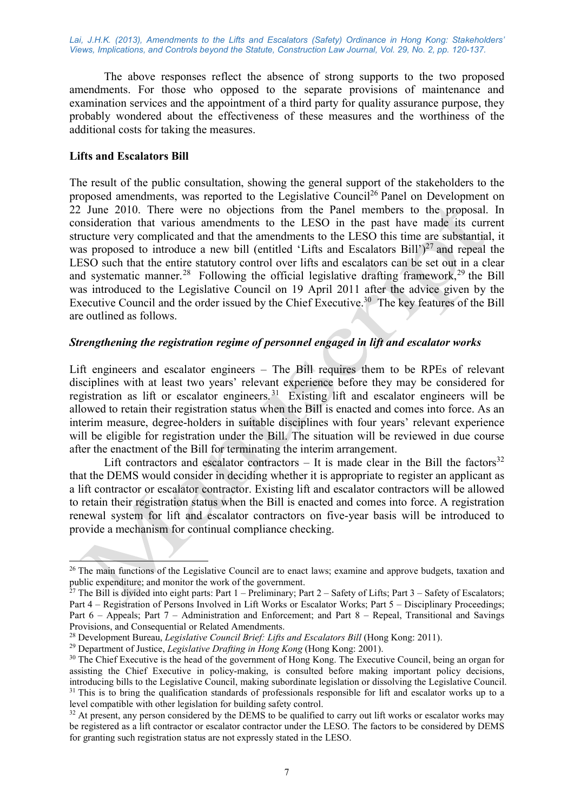The above responses reflect the absence of strong supports to the two proposed amendments. For those who opposed to the separate provisions of maintenance and examination services and the appointment of a third party for quality assurance purpose, they probably wondered about the effectiveness of these measures and the worthiness of the additional costs for taking the measures.

#### Lifts and Escalators Bill

-

The result of the public consultation, showing the general support of the stakeholders to the proposed amendments, was reported to the Legislative Council<sup>26</sup> Panel on Development on 22 June 2010. There were no objections from the Panel members to the proposal. In consideration that various amendments to the LESO in the past have made its current structure very complicated and that the amendments to the LESO this time are substantial, it was proposed to introduce a new bill (entitled 'Lifts and Escalators Bill')<sup>27</sup> and repeal the LESO such that the entire statutory control over lifts and escalators can be set out in a clear and systematic manner.<sup>28</sup> Following the official legislative drafting framework,<sup>29</sup> the Bill was introduced to the Legislative Council on 19 April 2011 after the advice given by the Executive Council and the order issued by the Chief Executive.<sup>30</sup> The key features of the Bill are outlined as follows.

# Strengthening the registration regime of personnel engaged in lift and escalator works

Lift engineers and escalator engineers – The Bill requires them to be RPEs of relevant disciplines with at least two years' relevant experience before they may be considered for registration as lift or escalator engineers.<sup>31</sup> Existing lift and escalator engineers will be allowed to retain their registration status when the Bill is enacted and comes into force. As an interim measure, degree-holders in suitable disciplines with four years' relevant experience will be eligible for registration under the Bill. The situation will be reviewed in due course after the enactment of the Bill for terminating the interim arrangement.

Lift contractors and escalator contractors – It is made clear in the Bill the factors<sup>32</sup> that the DEMS would consider in deciding whether it is appropriate to register an applicant as a lift contractor or escalator contractor. Existing lift and escalator contractors will be allowed to retain their registration status when the Bill is enacted and comes into force. A registration renewal system for lift and escalator contractors on five-year basis will be introduced to provide a mechanism for continual compliance checking.

<sup>&</sup>lt;sup>26</sup> The main functions of the Legislative Council are to enact laws; examine and approve budgets, taxation and public expenditure; and monitor the work of the government.

<sup>&</sup>lt;sup>27</sup> The Bill is divided into eight parts: Part  $1$  – Preliminary; Part  $2$  – Safety of Lifts; Part  $3$  – Safety of Escalators; Part 4 – Registration of Persons Involved in Lift Works or Escalator Works; Part 5 – Disciplinary Proceedings; Part 6 – Appeals; Part 7 – Administration and Enforcement; and Part 8 – Repeal, Transitional and Savings Provisions, and Consequential or Related Amendments.

<sup>&</sup>lt;sup>28</sup> Development Bureau, *Legislative Council Brief: Lifts and Escalators Bill* (Hong Kong: 2011).

<sup>&</sup>lt;sup>29</sup> Department of Justice, *Legislative Drafting in Hong Kong* (Hong Kong: 2001).

<sup>&</sup>lt;sup>30</sup> The Chief Executive is the head of the government of Hong Kong. The Executive Council, being an organ for assisting the Chief Executive in policy-making, is consulted before making important policy decisions, introducing bills to the Legislative Council, making subordinate legislation or dissolving the Legislative Council.  $31$  This is to bring the qualification standards of professionals responsible for lift and escalator works up to a level compatible with other legislation for building safety control.

<sup>&</sup>lt;sup>32</sup> At present, any person considered by the DEMS to be qualified to carry out lift works or escalator works may be registered as a lift contractor or escalator contractor under the LESO. The factors to be considered by DEMS for granting such registration status are not expressly stated in the LESO.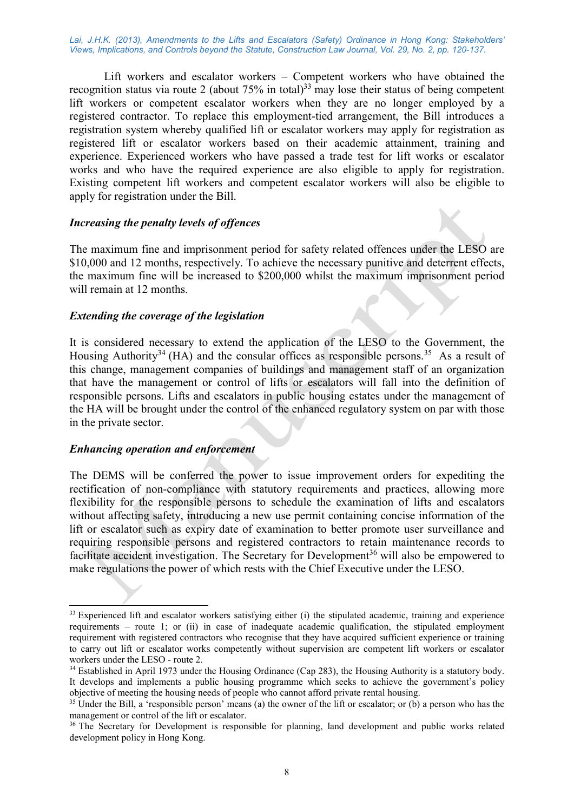Lift workers and escalator workers – Competent workers who have obtained the recognition status via route 2 (about  $75\%$  in total)<sup>33</sup> may lose their status of being competent lift workers or competent escalator workers when they are no longer employed by a registered contractor. To replace this employment-tied arrangement, the Bill introduces a registration system whereby qualified lift or escalator workers may apply for registration as registered lift or escalator workers based on their academic attainment, training and experience. Experienced workers who have passed a trade test for lift works or escalator works and who have the required experience are also eligible to apply for registration. Existing competent lift workers and competent escalator workers will also be eligible to apply for registration under the Bill.

#### Increasing the penalty levels of offences

The maximum fine and imprisonment period for safety related offences under the LESO are \$10,000 and 12 months, respectively. To achieve the necessary punitive and deterrent effects, the maximum fine will be increased to \$200,000 whilst the maximum imprisonment period will remain at 12 months.

#### Extending the coverage of the legislation

It is considered necessary to extend the application of the LESO to the Government, the Housing Authority<sup>34</sup> (HA) and the consular offices as responsible persons.<sup>35</sup> As a result of this change, management companies of buildings and management staff of an organization that have the management or control of lifts or escalators will fall into the definition of responsible persons. Lifts and escalators in public housing estates under the management of the HA will be brought under the control of the enhanced regulatory system on par with those in the private sector.

#### Enhancing operation and enforcement

-

The DEMS will be conferred the power to issue improvement orders for expediting the rectification of non-compliance with statutory requirements and practices, allowing more flexibility for the responsible persons to schedule the examination of lifts and escalators without affecting safety, introducing a new use permit containing concise information of the lift or escalator such as expiry date of examination to better promote user surveillance and requiring responsible persons and registered contractors to retain maintenance records to facilitate accident investigation. The Secretary for Development<sup>36</sup> will also be empowered to make regulations the power of which rests with the Chief Executive under the LESO.

<sup>&</sup>lt;sup>33</sup> Experienced lift and escalator workers satisfying either (i) the stipulated academic, training and experience requirements – route 1; or (ii) in case of inadequate academic qualification, the stipulated employment requirement with registered contractors who recognise that they have acquired sufficient experience or training to carry out lift or escalator works competently without supervision are competent lift workers or escalator workers under the LESO - route 2.

<sup>&</sup>lt;sup>34</sup> Established in April 1973 under the Housing Ordinance (Cap 283), the Housing Authority is a statutory body. It develops and implements a public housing programme which seeks to achieve the government's policy objective of meeting the housing needs of people who cannot afford private rental housing.

<sup>&</sup>lt;sup>35</sup> Under the Bill, a 'responsible person' means (a) the owner of the lift or escalator; or (b) a person who has the management or control of the lift or escalator.

<sup>&</sup>lt;sup>36</sup> The Secretary for Development is responsible for planning, land development and public works related development policy in Hong Kong.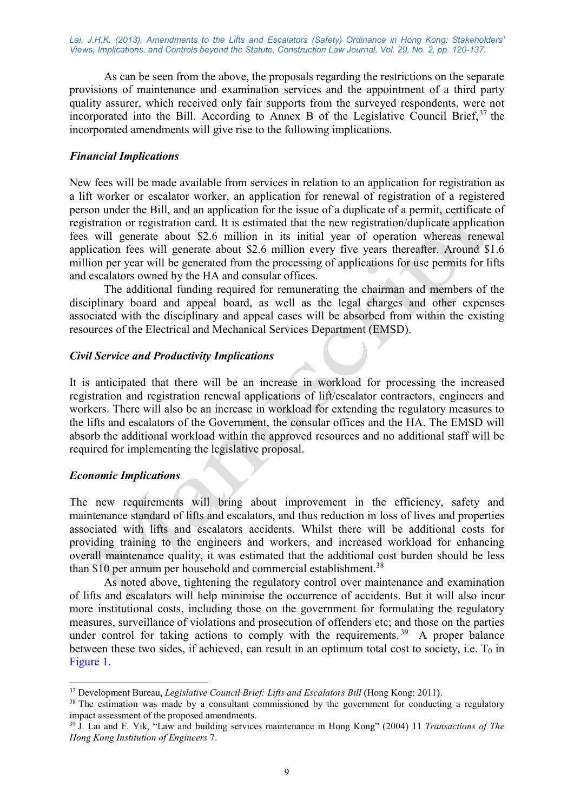As can be seen from the above, the proposals regarding the restrictions on the separate provisions of maintenance and examination services and the appointment of a third party quality assurer, which received only fair supports from the surveyed respondents, were not incorporated into the Bill. According to Annex B of the Legislative Council Brief,  $37$  the incorporated amendments will give rise to the following implications.

#### Financial Implications

New fees will be made available from services in relation to an application for registration as a lift worker or escalator worker, an application for renewal of registration of a registered person under the Bill, and an application for the issue of a duplicate of a permit, certificate of registration or registration card. It is estimated that the new registration/duplicate application fees will generate about \$2.6 million in its initial year of operation whereas renewal application fees will generate about \$2.6 million every five years thereafter. Around \$1.6 million per year will be generated from the processing of applications for use permits for lifts and escalators owned by the HA and consular offices.

The additional funding required for remunerating the chairman and members of the disciplinary board and appeal board, as well as the legal charges and other expenses associated with the disciplinary and appeal cases will be absorbed from within the existing resources of the Electrical and Mechanical Services Department (EMSD).

#### Civil Service and Productivity Implications

It is anticipated that there will be an increase in workload for processing the increased registration and registration renewal applications of lift/escalator contractors, engineers and workers. There will also be an increase in workload for extending the regulatory measures to the lifts and escalators of the Government, the consular offices and the HA. The EMSD will absorb the additional workload within the approved resources and no additional staff will be required for implementing the legislative proposal.

## Economic Implications

-

The new requirements will bring about improvement in the efficiency, safety and maintenance standard of lifts and escalators, and thus reduction in loss of lives and properties associated with lifts and escalators accidents. Whilst there will be additional costs for providing training to the engineers and workers, and increased workload for enhancing overall maintenance quality, it was estimated that the additional cost burden should be less than  $$10$  per annum per household and commercial establishment.<sup>38</sup>

As noted above, tightening the regulatory control over maintenance and examination of lifts and escalators will help minimise the occurrence of accidents. But it will also incur more institutional costs, including those on the government for formulating the regulatory measures, surveillance of violations and prosecution of offenders etc; and those on the parties under control for taking actions to comply with the requirements.<sup>39</sup> A proper balance between these two sides, if achieved, can result in an optimum total cost to society, i.e.  $T_0$  in Figure 1.

 $37$  Development Bureau, *Legislative Council Brief: Lifts and Escalators Bill* (Hong Kong: 2011).

<sup>&</sup>lt;sup>38</sup> The estimation was made by a consultant commissioned by the government for conducting a regulatory impact assessment of the proposed amendments.

<sup>&</sup>lt;sup>39</sup> J. Lai and F. Yik, "Law and building services maintenance in Hong Kong" (2004) 11 Transactions of The Hong Kong Institution of Engineers 7.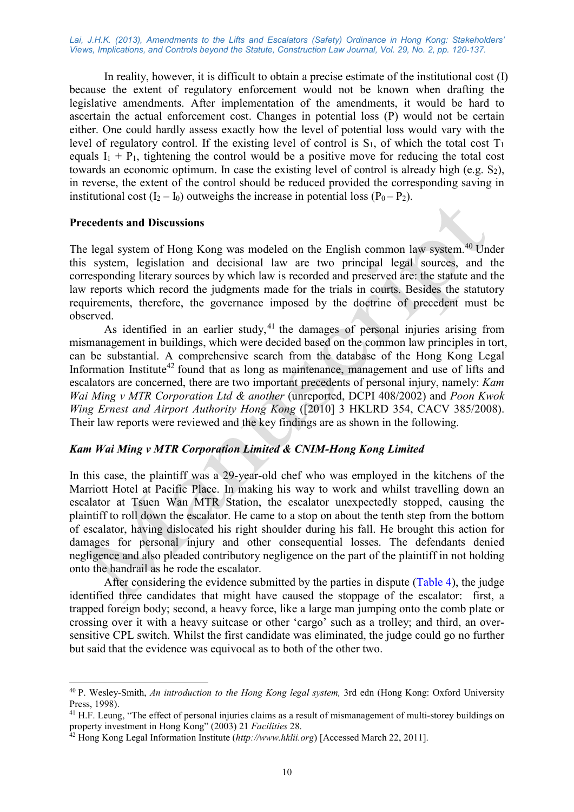In reality, however, it is difficult to obtain a precise estimate of the institutional cost (I) because the extent of regulatory enforcement would not be known when drafting the legislative amendments. After implementation of the amendments, it would be hard to ascertain the actual enforcement cost. Changes in potential loss (P) would not be certain either. One could hardly assess exactly how the level of potential loss would vary with the level of regulatory control. If the existing level of control is  $S_1$ , of which the total cost  $T_1$ equals  $I_1 + P_1$ , tightening the control would be a positive move for reducing the total cost towards an economic optimum. In case the existing level of control is already high (e.g. S2), in reverse, the extent of the control should be reduced provided the corresponding saving in institutional cost  $(I_2 - I_0)$  outweighs the increase in potential loss  $(P_0 - P_2)$ .

#### Precedents and Discussions

-

The legal system of Hong Kong was modeled on the English common law system.<sup>40</sup> Under this system, legislation and decisional law are two principal legal sources, and the corresponding literary sources by which law is recorded and preserved are: the statute and the law reports which record the judgments made for the trials in courts. Besides the statutory requirements, therefore, the governance imposed by the doctrine of precedent must be observed.

As identified in an earlier study,  $41$  the damages of personal injuries arising from mismanagement in buildings, which were decided based on the common law principles in tort, can be substantial. A comprehensive search from the database of the Hong Kong Legal Information Institute<sup>42</sup> found that as long as maintenance, management and use of lifts and escalators are concerned, there are two important precedents of personal injury, namely: Kam Wai Ming v MTR Corporation Ltd & another (unreported, DCPI 408/2002) and Poon Kwok Wing Ernest and Airport Authority Hong Kong ([2010] 3 HKLRD 354, CACV 385/2008). Their law reports were reviewed and the key findings are as shown in the following.

## Kam Wai Ming v MTR Corporation Limited & CNIM-Hong Kong Limited

In this case, the plaintiff was a 29-year-old chef who was employed in the kitchens of the Marriott Hotel at Pacific Place. In making his way to work and whilst travelling down an escalator at Tsuen Wan MTR Station, the escalator unexpectedly stopped, causing the plaintiff to roll down the escalator. He came to a stop on about the tenth step from the bottom of escalator, having dislocated his right shoulder during his fall. He brought this action for damages for personal injury and other consequential losses. The defendants denied negligence and also pleaded contributory negligence on the part of the plaintiff in not holding onto the handrail as he rode the escalator.

After considering the evidence submitted by the parties in dispute (Table 4), the judge identified three candidates that might have caused the stoppage of the escalator: first, a trapped foreign body; second, a heavy force, like a large man jumping onto the comb plate or crossing over it with a heavy suitcase or other 'cargo' such as a trolley; and third, an oversensitive CPL switch. Whilst the first candidate was eliminated, the judge could go no further but said that the evidence was equivocal as to both of the other two.

<sup>&</sup>lt;sup>40</sup> P. Wesley-Smith, An introduction to the Hong Kong legal system, 3rd edn (Hong Kong: Oxford University Press, 1998).

<sup>&</sup>lt;sup>41</sup> H.F. Leung, "The effect of personal injuries claims as a result of mismanagement of multi-storey buildings on property investment in Hong Kong" (2003) 21 Facilities 28.

 $^{42}$  Hong Kong Legal Information Institute (http://www.hklii.org) [Accessed March 22, 2011].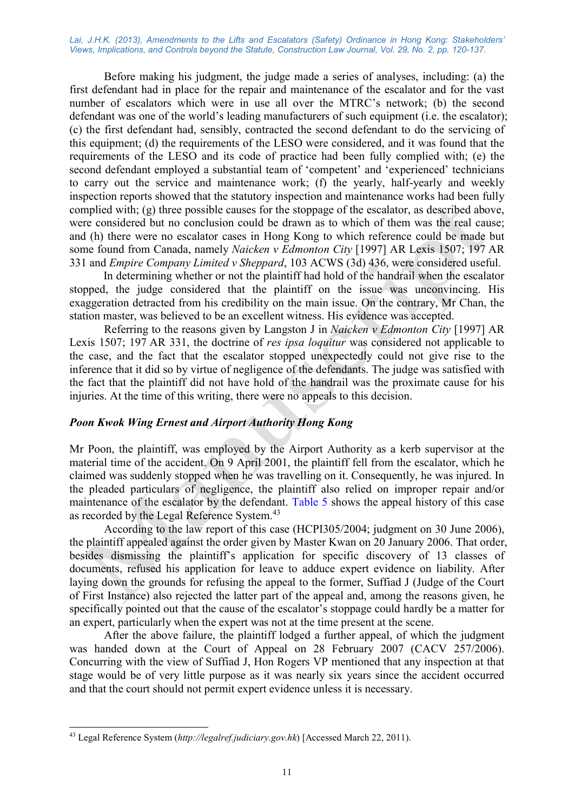Before making his judgment, the judge made a series of analyses, including: (a) the first defendant had in place for the repair and maintenance of the escalator and for the vast number of escalators which were in use all over the MTRC's network; (b) the second defendant was one of the world's leading manufacturers of such equipment (i.e. the escalator); (c) the first defendant had, sensibly, contracted the second defendant to do the servicing of this equipment; (d) the requirements of the LESO were considered, and it was found that the requirements of the LESO and its code of practice had been fully complied with; (e) the second defendant employed a substantial team of 'competent' and 'experienced' technicians to carry out the service and maintenance work; (f) the yearly, half-yearly and weekly inspection reports showed that the statutory inspection and maintenance works had been fully complied with;  $(g)$  three possible causes for the stoppage of the escalator, as described above, were considered but no conclusion could be drawn as to which of them was the real cause; and (h) there were no escalator cases in Hong Kong to which reference could be made but some found from Canada, namely Naicken v Edmonton City [1997] AR Lexis 1507; 197 AR 331 and Empire Company Limited v Sheppard, 103 ACWS (3d) 436, were considered useful.

 In determining whether or not the plaintiff had hold of the handrail when the escalator stopped, the judge considered that the plaintiff on the issue was unconvincing. His exaggeration detracted from his credibility on the main issue. On the contrary, Mr Chan, the station master, was believed to be an excellent witness. His evidence was accepted.

Referring to the reasons given by Langston J in Naicken v Edmonton City [1997] AR Lexis 1507; 197 AR 331, the doctrine of res ipsa loquitur was considered not applicable to the case, and the fact that the escalator stopped unexpectedly could not give rise to the inference that it did so by virtue of negligence of the defendants. The judge was satisfied with the fact that the plaintiff did not have hold of the handrail was the proximate cause for his injuries. At the time of this writing, there were no appeals to this decision.

## Poon Kwok Wing Ernest and Airport Authority Hong Kong

Mr Poon, the plaintiff, was employed by the Airport Authority as a kerb supervisor at the material time of the accident. On 9 April 2001, the plaintiff fell from the escalator, which he claimed was suddenly stopped when he was travelling on it. Consequently, he was injured. In the pleaded particulars of negligence, the plaintiff also relied on improper repair and/or maintenance of the escalator by the defendant. Table 5 shows the appeal history of this case as recorded by the Legal Reference System.<sup>43</sup>

According to the law report of this case (HCPI305/2004; judgment on 30 June 2006), the plaintiff appealed against the order given by Master Kwan on 20 January 2006. That order, besides dismissing the plaintiff's application for specific discovery of 13 classes of documents, refused his application for leave to adduce expert evidence on liability. After laying down the grounds for refusing the appeal to the former, Suffiad J (Judge of the Court of First Instance) also rejected the latter part of the appeal and, among the reasons given, he specifically pointed out that the cause of the escalator's stoppage could hardly be a matter for an expert, particularly when the expert was not at the time present at the scene.

After the above failure, the plaintiff lodged a further appeal, of which the judgment was handed down at the Court of Appeal on 28 February 2007 (CACV 257/2006). Concurring with the view of Suffiad J, Hon Rogers VP mentioned that any inspection at that stage would be of very little purpose as it was nearly six years since the accident occurred and that the court should not permit expert evidence unless it is necessary.

-

<sup>&</sup>lt;sup>43</sup> Legal Reference System (http://legalref.judiciary.gov.hk) [Accessed March 22, 2011).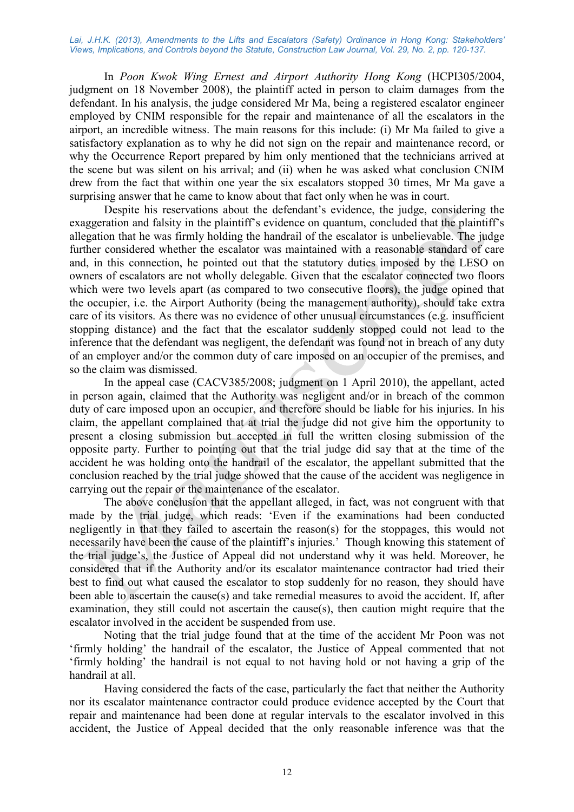In Poon Kwok Wing Ernest and Airport Authority Hong Kong (HCPI305/2004, judgment on 18 November 2008), the plaintiff acted in person to claim damages from the defendant. In his analysis, the judge considered Mr Ma, being a registered escalator engineer employed by CNIM responsible for the repair and maintenance of all the escalators in the airport, an incredible witness. The main reasons for this include: (i) Mr Ma failed to give a satisfactory explanation as to why he did not sign on the repair and maintenance record, or why the Occurrence Report prepared by him only mentioned that the technicians arrived at the scene but was silent on his arrival; and (ii) when he was asked what conclusion CNIM drew from the fact that within one year the six escalators stopped 30 times, Mr Ma gave a surprising answer that he came to know about that fact only when he was in court.

Despite his reservations about the defendant's evidence, the judge, considering the exaggeration and falsity in the plaintiff's evidence on quantum, concluded that the plaintiff's allegation that he was firmly holding the handrail of the escalator is unbelievable. The judge further considered whether the escalator was maintained with a reasonable standard of care and, in this connection, he pointed out that the statutory duties imposed by the LESO on owners of escalators are not wholly delegable. Given that the escalator connected two floors which were two levels apart (as compared to two consecutive floors), the judge opined that the occupier, i.e. the Airport Authority (being the management authority), should take extra care of its visitors. As there was no evidence of other unusual circumstances (e.g. insufficient stopping distance) and the fact that the escalator suddenly stopped could not lead to the inference that the defendant was negligent, the defendant was found not in breach of any duty of an employer and/or the common duty of care imposed on an occupier of the premises, and so the claim was dismissed.

In the appeal case (CACV385/2008; judgment on 1 April 2010), the appellant, acted in person again, claimed that the Authority was negligent and/or in breach of the common duty of care imposed upon an occupier, and therefore should be liable for his injuries. In his claim, the appellant complained that at trial the judge did not give him the opportunity to present a closing submission but accepted in full the written closing submission of the opposite party. Further to pointing out that the trial judge did say that at the time of the accident he was holding onto the handrail of the escalator, the appellant submitted that the conclusion reached by the trial judge showed that the cause of the accident was negligence in carrying out the repair or the maintenance of the escalator.

The above conclusion that the appellant alleged, in fact, was not congruent with that made by the trial judge, which reads: 'Even if the examinations had been conducted negligently in that they failed to ascertain the reason(s) for the stoppages, this would not necessarily have been the cause of the plaintiff's injuries.' Though knowing this statement of the trial judge's, the Justice of Appeal did not understand why it was held. Moreover, he considered that if the Authority and/or its escalator maintenance contractor had tried their best to find out what caused the escalator to stop suddenly for no reason, they should have been able to ascertain the cause(s) and take remedial measures to avoid the accident. If, after examination, they still could not ascertain the cause(s), then caution might require that the escalator involved in the accident be suspended from use.

Noting that the trial judge found that at the time of the accident Mr Poon was not 'firmly holding' the handrail of the escalator, the Justice of Appeal commented that not 'firmly holding' the handrail is not equal to not having hold or not having a grip of the handrail at all.

Having considered the facts of the case, particularly the fact that neither the Authority nor its escalator maintenance contractor could produce evidence accepted by the Court that repair and maintenance had been done at regular intervals to the escalator involved in this accident, the Justice of Appeal decided that the only reasonable inference was that the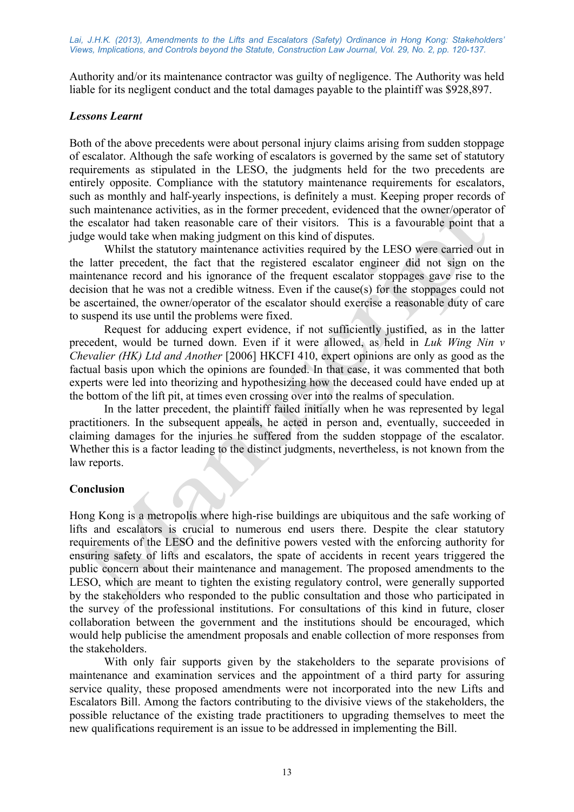Authority and/or its maintenance contractor was guilty of negligence. The Authority was held liable for its negligent conduct and the total damages payable to the plaintiff was \$928,897.

# Lessons Learnt

Both of the above precedents were about personal injury claims arising from sudden stoppage of escalator. Although the safe working of escalators is governed by the same set of statutory requirements as stipulated in the LESO, the judgments held for the two precedents are entirely opposite. Compliance with the statutory maintenance requirements for escalators, such as monthly and half-yearly inspections, is definitely a must. Keeping proper records of such maintenance activities, as in the former precedent, evidenced that the owner/operator of the escalator had taken reasonable care of their visitors. This is a favourable point that a judge would take when making judgment on this kind of disputes.

Whilst the statutory maintenance activities required by the LESO were carried out in the latter precedent, the fact that the registered escalator engineer did not sign on the maintenance record and his ignorance of the frequent escalator stoppages gave rise to the decision that he was not a credible witness. Even if the cause(s) for the stoppages could not be ascertained, the owner/operator of the escalator should exercise a reasonable duty of care to suspend its use until the problems were fixed.

Request for adducing expert evidence, if not sufficiently justified, as in the latter precedent, would be turned down. Even if it were allowed, as held in Luk Wing Nin v Chevalier (HK) Ltd and Another [2006] HKCFI 410, expert opinions are only as good as the factual basis upon which the opinions are founded. In that case, it was commented that both experts were led into theorizing and hypothesizing how the deceased could have ended up at the bottom of the lift pit, at times even crossing over into the realms of speculation.

In the latter precedent, the plaintiff failed initially when he was represented by legal practitioners. In the subsequent appeals, he acted in person and, eventually, succeeded in claiming damages for the injuries he suffered from the sudden stoppage of the escalator. Whether this is a factor leading to the distinct judgments, nevertheless, is not known from the law reports.

# Conclusion

Hong Kong is a metropolis where high-rise buildings are ubiquitous and the safe working of lifts and escalators is crucial to numerous end users there. Despite the clear statutory requirements of the LESO and the definitive powers vested with the enforcing authority for ensuring safety of lifts and escalators, the spate of accidents in recent years triggered the public concern about their maintenance and management. The proposed amendments to the LESO, which are meant to tighten the existing regulatory control, were generally supported by the stakeholders who responded to the public consultation and those who participated in the survey of the professional institutions. For consultations of this kind in future, closer collaboration between the government and the institutions should be encouraged, which would help publicise the amendment proposals and enable collection of more responses from the stakeholders.

With only fair supports given by the stakeholders to the separate provisions of maintenance and examination services and the appointment of a third party for assuring service quality, these proposed amendments were not incorporated into the new Lifts and Escalators Bill. Among the factors contributing to the divisive views of the stakeholders, the possible reluctance of the existing trade practitioners to upgrading themselves to meet the new qualifications requirement is an issue to be addressed in implementing the Bill.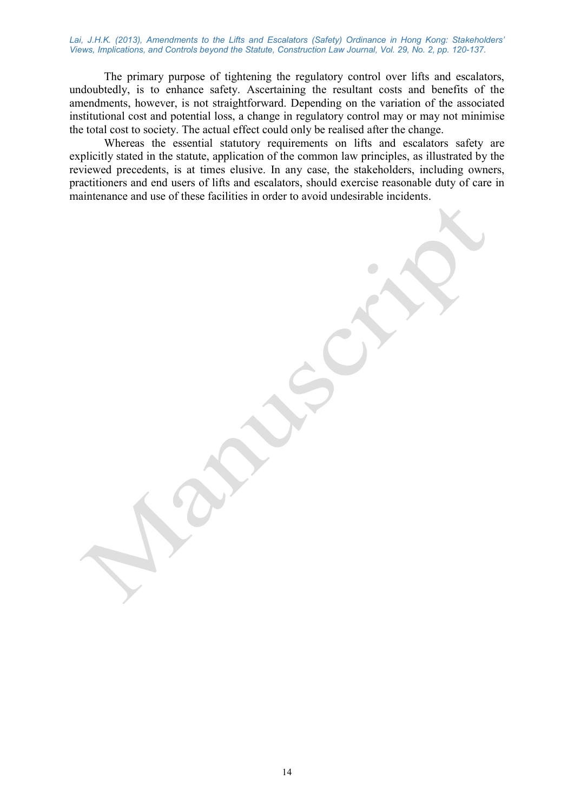The primary purpose of tightening the regulatory control over lifts and escalators, undoubtedly, is to enhance safety. Ascertaining the resultant costs and benefits of the amendments, however, is not straightforward. Depending on the variation of the associated institutional cost and potential loss, a change in regulatory control may or may not minimise the total cost to society. The actual effect could only be realised after the change.

Whereas the essential statutory requirements on lifts and escalators safety are explicitly stated in the statute, application of the common law principles, as illustrated by the reviewed precedents, is at times elusive. In any case, the stakeholders, including owners, practitioners and end users of lifts and escalators, should exercise reasonable duty of care in maintenance and use of these facilities in order to avoid undesirable incidents.

14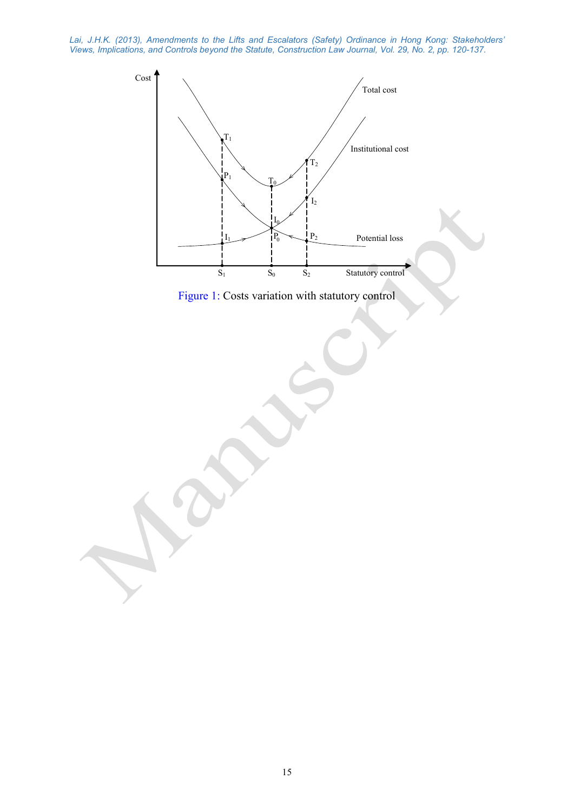

Figure 1: Costs variation with statutory control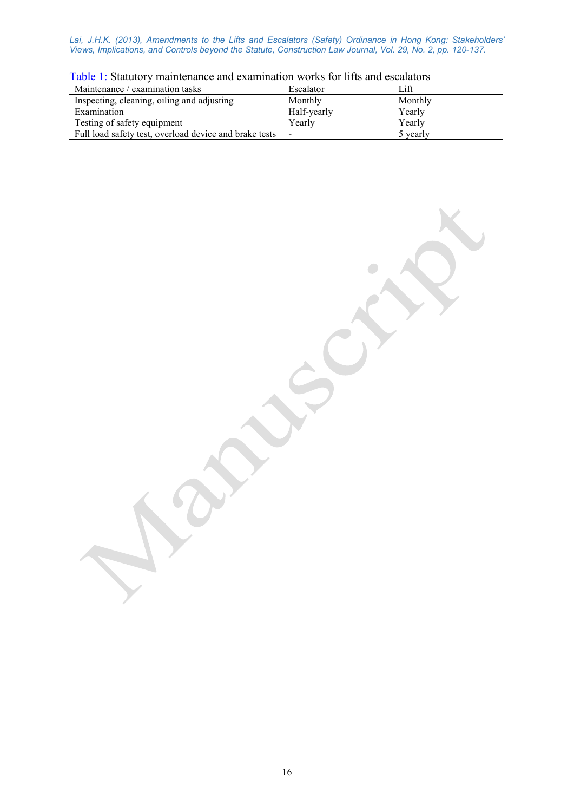| $1.001$ $1.0000$<br>TIIWIIIVVIIIVVV WIIW VIIWIIIIIWVIVII '' VIIID IVI IIIVD WIIW VDVWIWVVID |             |          |  |  |  |
|---------------------------------------------------------------------------------------------|-------------|----------|--|--|--|
| Maintenance / examination tasks                                                             | Escalator   | Lift     |  |  |  |
| Inspecting, cleaning, oiling and adjusting                                                  | Monthly     | Monthly  |  |  |  |
| Examination                                                                                 | Half-yearly | Yearly   |  |  |  |
| Testing of safety equipment                                                                 | Yearly      | Yearly   |  |  |  |
| Full load safety test, overload device and brake tests                                      |             | 5 yearly |  |  |  |

 $\bigcirc$ 

|  | Table 1: Statutory maintenance and examination works for lifts and escalators |  |  |  |  |
|--|-------------------------------------------------------------------------------|--|--|--|--|
|  |                                                                               |  |  |  |  |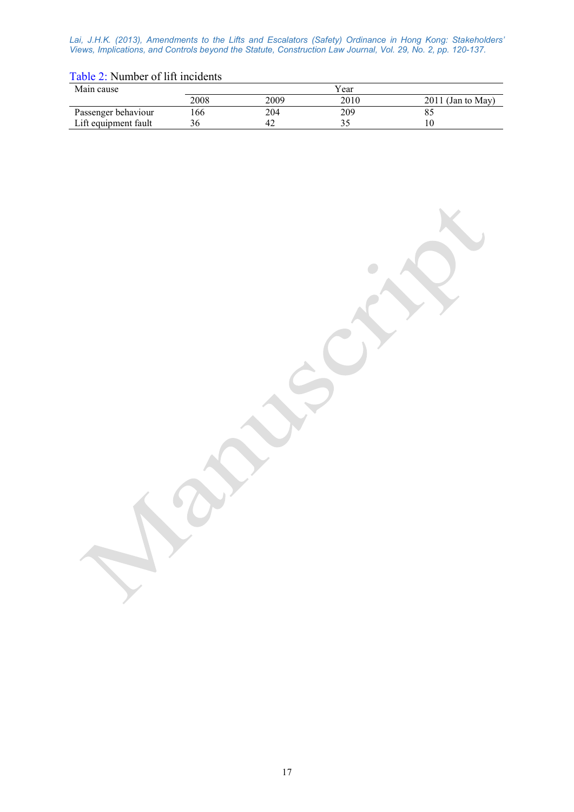# Table 2: Number of lift incidents

| Main cause           |      | Year |      |                     |  |  |
|----------------------|------|------|------|---------------------|--|--|
|                      | 2008 | 2009 | 2010 | $2011$ (Jan to May) |  |  |
| Passenger behaviour  | .66  | 204  | 209  |                     |  |  |
| Lift equipment fault |      | 42   |      |                     |  |  |

 $\Box$ 

17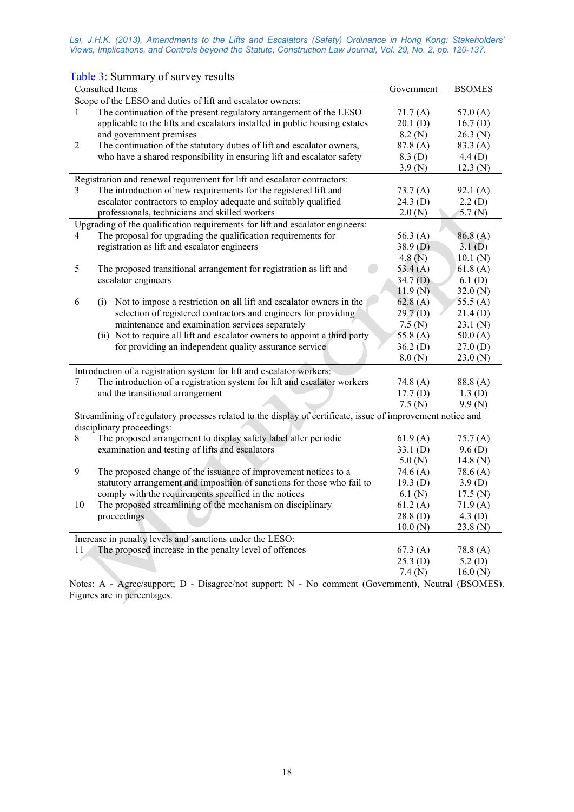| Consulted Items                                                                                             |  | Government | <b>BSOMES</b> |  |  |  |
|-------------------------------------------------------------------------------------------------------------|--|------------|---------------|--|--|--|
| Scope of the LESO and duties of lift and escalator owners:                                                  |  |            |               |  |  |  |
| The continuation of the present regulatory arrangement of the LESO<br>1                                     |  | 71.7(A)    | 57.0 $(A)$    |  |  |  |
| applicable to the lifts and escalators installed in public housing estates                                  |  | 20.1(D)    | 16.7(D)       |  |  |  |
| and government premises                                                                                     |  | 8.2(N)     | 26.3(N)       |  |  |  |
| The continuation of the statutory duties of lift and escalator owners,<br>$\overline{2}$                    |  | 87.8(A)    | 83.3(A)       |  |  |  |
| who have a shared responsibility in ensuring lift and escalator safety                                      |  | 8.3(D)     | 4.4(D)        |  |  |  |
|                                                                                                             |  | 3.9(N)     | 12.3(N)       |  |  |  |
| Registration and renewal requirement for lift and escalator contractors:                                    |  |            |               |  |  |  |
| The introduction of new requirements for the registered lift and<br>3                                       |  | 73.7 (A)   | 92.1(A)       |  |  |  |
| escalator contractors to employ adequate and suitably qualified                                             |  | 24.3(D)    | 2.2(D)        |  |  |  |
| professionals, technicians and skilled workers                                                              |  | 2.0(N)     | 5.7 $(N)$     |  |  |  |
| Upgrading of the qualification requirements for lift and escalator engineers:                               |  |            |               |  |  |  |
| The proposal for upgrading the qualification requirements for<br>4                                          |  | 56.3 $(A)$ | 86.8(A)       |  |  |  |
| registration as lift and escalator engineers                                                                |  | 38.9(D)    | 3.1(D)        |  |  |  |
|                                                                                                             |  | 4.8(N)     | 10.1(N)       |  |  |  |
| 5<br>The proposed transitional arrangement for registration as lift and                                     |  | 53.4(A)    | 61.8(A)       |  |  |  |
| escalator engineers                                                                                         |  | 34.7(D)    | 6.1(D)        |  |  |  |
|                                                                                                             |  | 11.9(N)    | 32.0(N)       |  |  |  |
| 6<br>(i) Not to impose a restriction on all lift and escalator owners in the                                |  | 62.8(A)    | 55.5 $(A)$    |  |  |  |
| selection of registered contractors and engineers for providing                                             |  | 29.7(D)    | 21.4(D)       |  |  |  |
| maintenance and examination services separately                                                             |  | 7.5(N)     | 23.1(N)       |  |  |  |
| (ii) Not to require all lift and escalator owners to appoint a third party                                  |  | 55.8 $(A)$ | 50.0(A)       |  |  |  |
| for providing an independent quality assurance service                                                      |  | 36.2(D)    | 27.0(D)       |  |  |  |
|                                                                                                             |  | 8.0(N)     | 23.0(N)       |  |  |  |
| Introduction of a registration system for lift and escalator workers:                                       |  |            |               |  |  |  |
| The introduction of a registration system for lift and escalator workers<br>7                               |  | 74.8 $(A)$ | 88.8(A)       |  |  |  |
| and the transitional arrangement                                                                            |  | 17.7(D)    | 1.3(D)        |  |  |  |
|                                                                                                             |  | 7.5 (N)    | 9.9(N)        |  |  |  |
| Streamlining of regulatory processes related to the display of certificate, issue of improvement notice and |  |            |               |  |  |  |
| disciplinary proceedings:                                                                                   |  |            |               |  |  |  |
| The proposed arrangement to display safety label after periodic<br>8                                        |  | 61.9(A)    | 75.7(A)       |  |  |  |
| examination and testing of lifts and escalators                                                             |  | 33.1(D)    | 9.6(D)        |  |  |  |
|                                                                                                             |  | 5.0(N)     | 14.8 $(N)$    |  |  |  |
| 9<br>The proposed change of the issuance of improvement notices to a                                        |  | 74.6 $(A)$ | 78.6(A)       |  |  |  |
| statutory arrangement and imposition of sanctions for those who fail to                                     |  | 19.3(D)    | 3.9(D)        |  |  |  |
| comply with the requirements specified in the notices                                                       |  | 6.1(N)     | 17.5 (N)      |  |  |  |
| 10<br>The proposed streamlining of the mechanism on disciplinary                                            |  | 61.2(A)    | 71.9(A)       |  |  |  |
| proceedings                                                                                                 |  | 28.8(D)    | 4.3 $(D)$     |  |  |  |
|                                                                                                             |  | 10.0(N)    | 23.8(N)       |  |  |  |
| Increase in penalty levels and sanctions under the LESO:                                                    |  |            |               |  |  |  |
| The proposed increase in the penalty level of offences<br>11                                                |  | 67.3(A)    | 78.8(A)       |  |  |  |
|                                                                                                             |  | 25.3(D)    | 5.2(D)        |  |  |  |
|                                                                                                             |  | 7.4(N)     | 16.0(N)       |  |  |  |

Table 3: Summary of survey results

Notes: A - Agree/support; D - Disagree/not support; N - No comment (Government), Neutral (BSOMES). Figures are in percentages.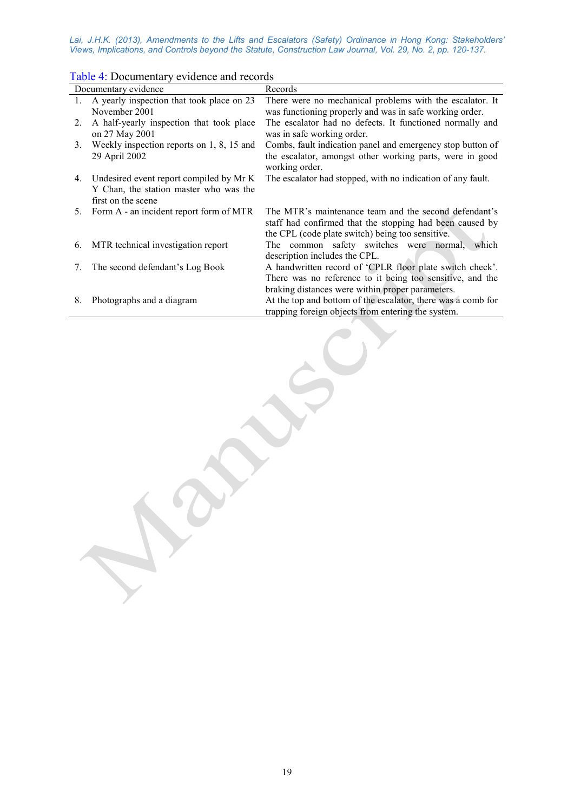| Documentary evidence |                                                                                                         | Records                                                                                                                                                                |
|----------------------|---------------------------------------------------------------------------------------------------------|------------------------------------------------------------------------------------------------------------------------------------------------------------------------|
| 1.                   | A yearly inspection that took place on 23<br>November 2001                                              | There were no mechanical problems with the escalator. It<br>was functioning properly and was in safe working order.                                                    |
| 2.                   | A half-yearly inspection that took place<br>on 27 May 2001                                              | The escalator had no defects. It functioned normally and<br>was in safe working order.                                                                                 |
| 3.                   | Weekly inspection reports on 1, 8, 15 and<br>29 April 2002                                              | Combs, fault indication panel and emergency stop button of<br>the escalator, amongst other working parts, were in good<br>working order.                               |
| 4.                   | Undesired event report compiled by Mr K<br>Y Chan, the station master who was the<br>first on the scene | The escalator had stopped, with no indication of any fault.                                                                                                            |
| 5.                   | Form A - an incident report form of MTR                                                                 | The MTR's maintenance team and the second defendant's<br>staff had confirmed that the stopping had been caused by<br>the CPL (code plate switch) being too sensitive.  |
| 6.                   | MTR technical investigation report                                                                      | The common safety switches were normal, which<br>description includes the CPL.                                                                                         |
| 7.                   | The second defendant's Log Book                                                                         | A handwritten record of 'CPLR floor plate switch check'.<br>There was no reference to it being too sensitive, and the                                                  |
| 8.                   | Photographs and a diagram                                                                               | braking distances were within proper parameters.<br>At the top and bottom of the escalator, there was a comb for<br>trapping foreign objects from entering the system. |

#### Table 4: Documentary evidence and records